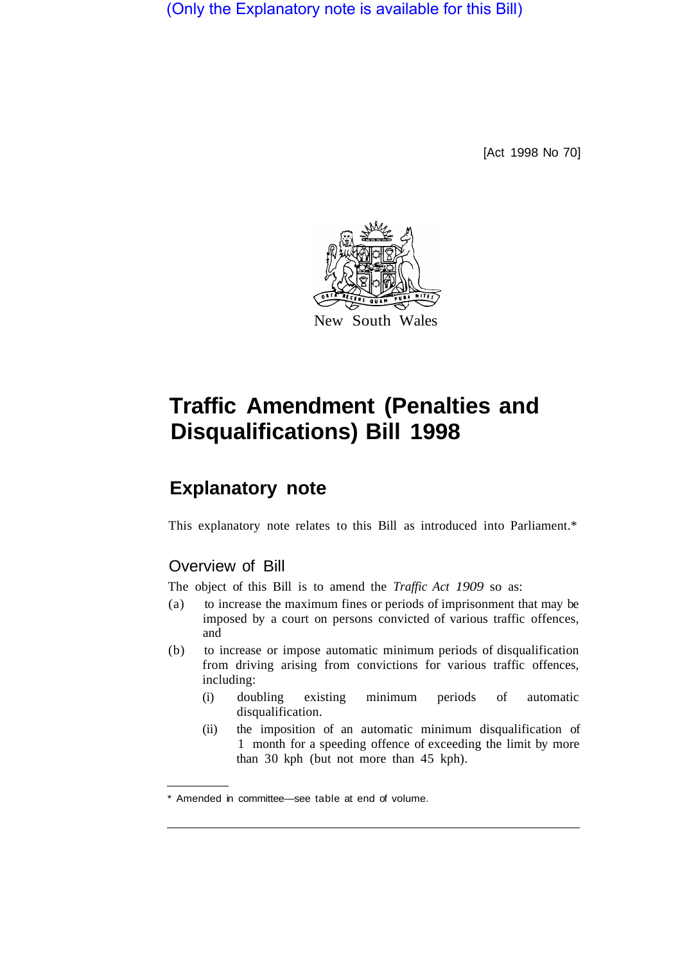(Only the Explanatory note is available for this Bill)

[Act 1998 No 70]



# **Traffic Amendment (Penalties and Disqualifications) Bill 1998**

# **Explanatory note**

This explanatory note relates to this Bill as introduced into Parliament.\*

# Overview of Bill

The object of this Bill is to amend the *Traffic Act 1909* so as:

- (a) to increase the maximum fines or periods of imprisonment that may be imposed by a court on persons convicted of various traffic offences, and
- (b) to increase or impose automatic minimum periods of disqualification from driving arising from convictions for various traffic offences, including:
	- (i) doubling existing minimum periods of automatic disqualification.
	- (ii) the imposition of an automatic minimum disqualification of 1 month for a speeding offence of exceeding the limit by more than 30 kph (but not more than 45 kph).

<sup>\*</sup> Amended in committee—see table at end of volume.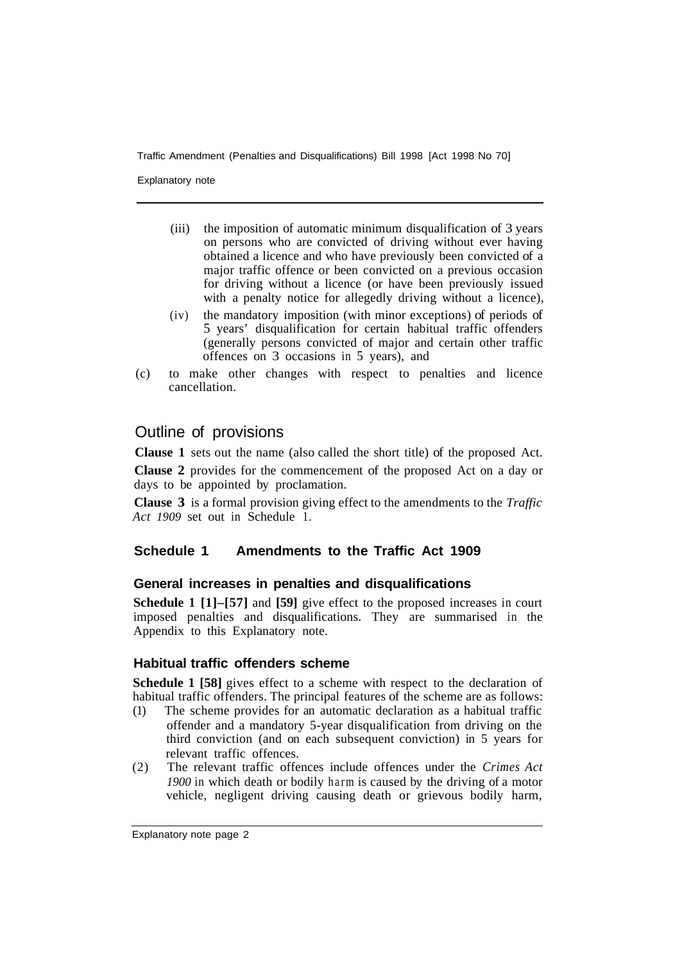Explanatory note

- (iii) the imposition of automatic minimum disqualification of 3 years on persons who are convicted of driving without ever having obtained a licence and who have previously been convicted of a major traffic offence or been convicted on a previous occasion for driving without a licence (or have been previously issued with a penalty notice for allegedly driving without a licence),
- (iv) the mandatory imposition (with minor exceptions) of periods of 5 years' disqualification for certain habitual traffic offenders (generally persons convicted of major and certain other traffic offences on 3 occasions in 5 years), and
- (c) to make other changes with respect to penalties and licence cancellation.

# Outline of provisions

**Clause 1** sets out the name (also called the short title) of the proposed Act.

**Clause 2** provides for the commencement of the proposed Act on a day or days to be appointed by proclamation.

**Clause 3** is a formal provision giving effect to the amendments to the *Traffic Act 1909* set out in Schedule 1.

# **Schedule 1 Amendments to the Traffic Act 1909**

# **General increases in penalties and disqualifications**

**Schedule 1 [1]–[57]** and **[59]** give effect to the proposed increases in court imposed penalties and disqualifications. They are summarised in the Appendix to this Explanatory note.

# **Habitual traffic offenders scheme**

**Schedule 1 [58]** gives effect to a scheme with respect to the declaration of habitual traffic offenders. The principal features of the scheme are as follows:

- (1) The scheme provides for an automatic declaration as a habitual traffic offender and a mandatory 5-year disqualification from driving on the third conviction (and on each subsequent conviction) in 5 years for relevant traffic offences.
- (2) The relevant traffic offences include offences under the *Crimes Act 1900* in which death or bodily harm is caused by the driving of a motor vehicle, negligent driving causing death or grievous bodily harm,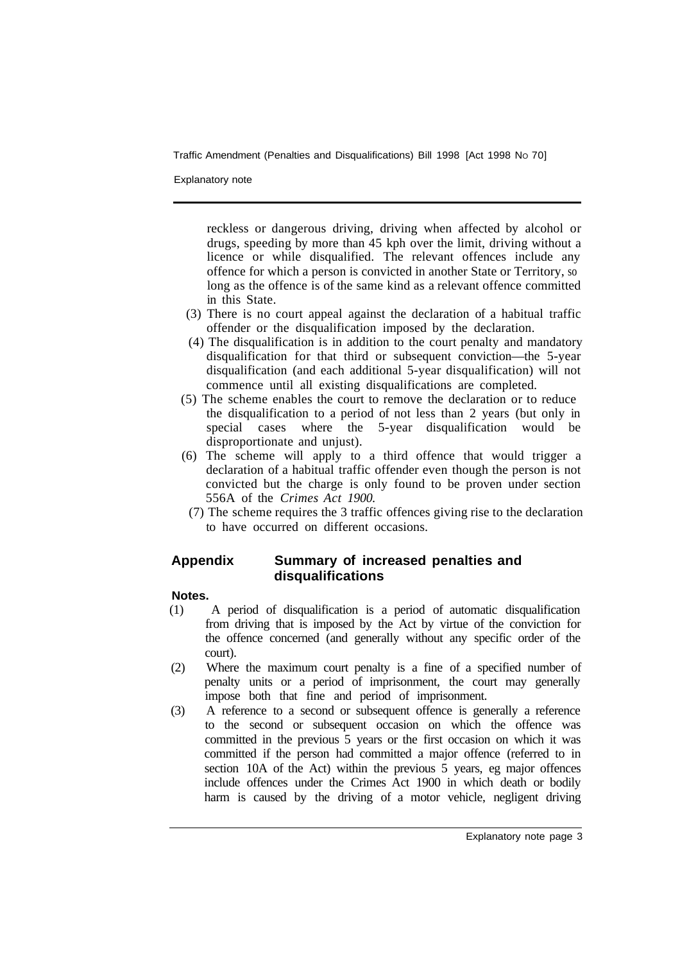Explanatory note

reckless or dangerous driving, driving when affected by alcohol or drugs, speeding by more than 45 kph over the limit, driving without a licence or while disqualified. The relevant offences include any offence for which a person is convicted in another State or Territory, so long as the offence is of the same kind as a relevant offence committed in this State.

- (3) There is no court appeal against the declaration of a habitual traffic offender or the disqualification imposed by the declaration.
- (4) The disqualification is in addition to the court penalty and mandatory disqualification for that third or subsequent conviction—the 5-year disqualification (and each additional 5-year disqualification) will not commence until all existing disqualifications are completed.
- (5) The scheme enables the court to remove the declaration or to reduce the disqualification to a period of not less than 2 years (but only in special cases where the 5-year disqualification would be disproportionate and unjust).
- (6) The scheme will apply to a third offence that would trigger a declaration of a habitual traffic offender even though the person is not convicted but the charge is only found to be proven under section 556A of the *Crimes Act 1900.*
- (7) The scheme requires the 3 traffic offences giving rise to the declaration to have occurred on different occasions.

# **Appendix Summary of increased penalties and disqualifications**

# **Notes.**

- (1) A period of disqualification is a period of automatic disqualification from driving that is imposed by the Act by virtue of the conviction for the offence concerned (and generally without any specific order of the court).
- (2) Where the maximum court penalty is a fine of a specified number of penalty units or a period of imprisonment, the court may generally impose both that fine and period of imprisonment.
- (3) A reference to a second or subsequent offence is generally a reference to the second or subsequent occasion on which the offence was committed in the previous 5 years or the first occasion on which it was committed if the person had committed a major offence (referred to in section 10A of the Act) within the previous 5 years, eg major offences include offences under the Crimes Act 1900 in which death or bodily harm is caused by the driving of a motor vehicle, negligent driving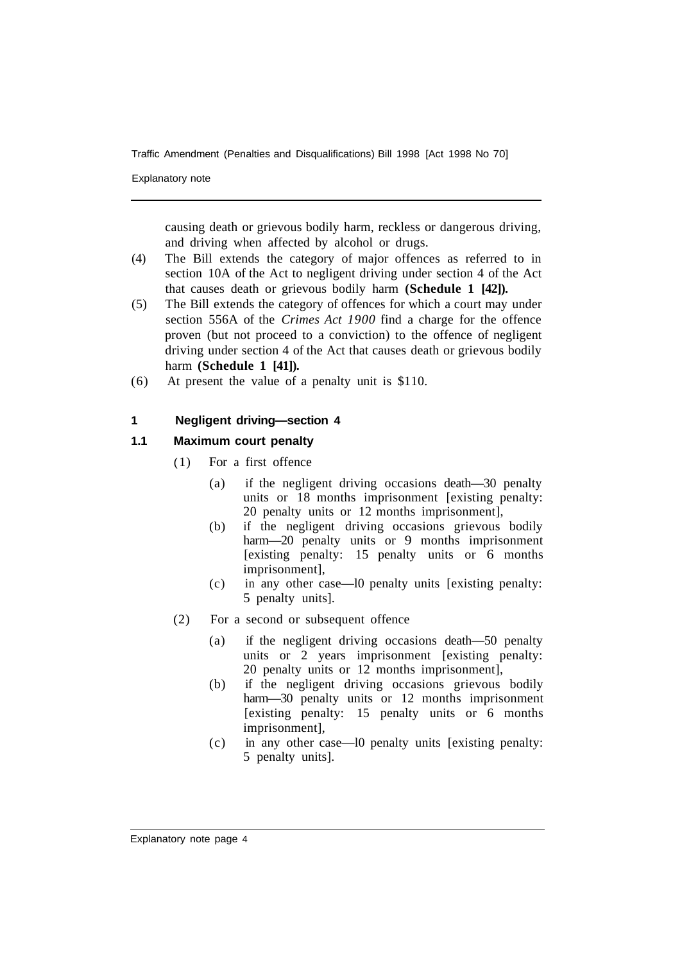Explanatory note

causing death or grievous bodily harm, reckless or dangerous driving, and driving when affected by alcohol or drugs.

- (4) The Bill extends the category of major offences as referred to in section 10A of the Act to negligent driving under section 4 of the Act that causes death or grievous bodily harm **(Schedule 1 [42]).**
- (5) The Bill extends the category of offences for which a court may under section 556A of the *Crimes Act 1900* find a charge for the offence proven (but not proceed to a conviction) to the offence of negligent driving under section 4 of the Act that causes death or grievous bodily harm **(Schedule 1 [41]).**
- (6) At present the value of a penalty unit is \$110.

### **1 Negligent driving—section 4**

- ( 1) For a first offence
	- (a) if the negligent driving occasions death—30 penalty units or 18 months imprisonment [existing penalty: 20 penalty units or 12 months imprisonment],
	- (b) if the negligent driving occasions grievous bodily harm—20 penalty units or 9 months imprisonment [existing penalty: 15 penalty units or 6 months imprisonment],
	- (c) in any other case—l0 penalty units [existing penalty: 5 penalty units].
- (2) For a second or subsequent offence
	- (a) if the negligent driving occasions death—50 penalty units or 2 years imprisonment [existing penalty: 20 penalty units or 12 months imprisonment],
	- (b) if the negligent driving occasions grievous bodily harm—30 penalty units or 12 months imprisonment [existing penalty: 15 penalty units or 6 months imprisonment],
	- (c) in any other case—l0 penalty units [existing penalty: 5 penalty units].

Explanatory note page 4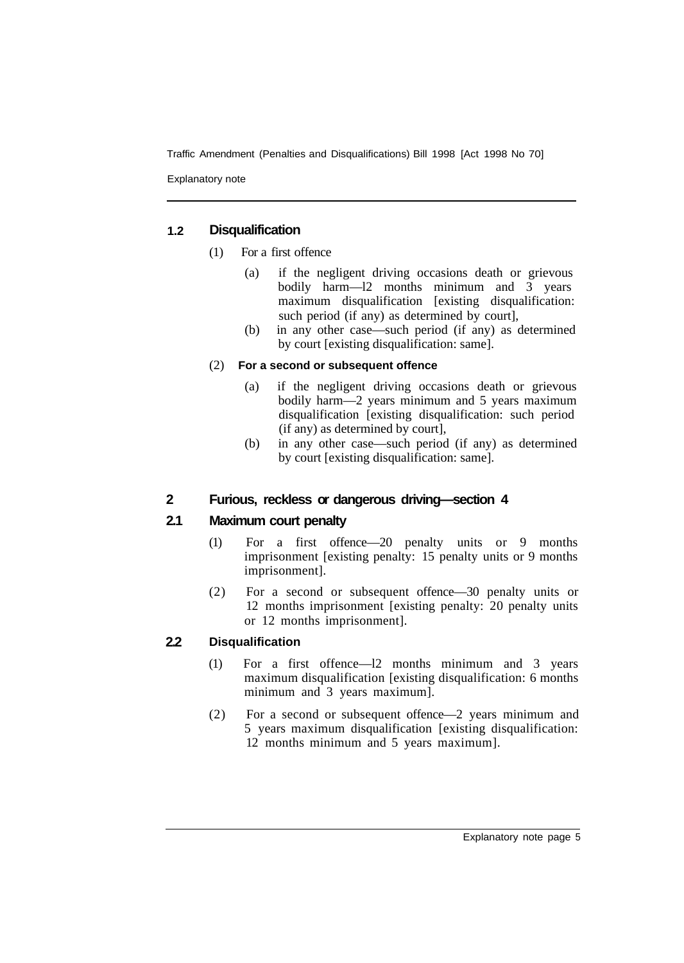Explanatory note

#### **1.2 Disqualification**

- (1) For a first offence
	- (a) if the negligent driving occasions death or grievous bodily harm—l2 months minimum and 3 years maximum disqualification [existing disqualification: such period (if any) as determined by court],
	- (b) in any other case—such period (if any) as determined by court [existing disqualification: same].

# (2) **For a second or subsequent offence**

- (a) if the negligent driving occasions death or grievous bodily harm—2 years minimum and 5 years maximum disqualification [existing disqualification: such period (if any) as determined by court],
- (b) in any other case—such period (if any) as determined by court [existing disqualification: same].

#### **2 Furious, reckless or dangerous driving—section 4**

#### **2.1 Maximum court penalty**

- (1) For a first offence—20 penalty units or 9 months imprisonment [existing penalty: 15 penalty units or 9 months imprisonment].
- (2) For a second or subsequent offence—30 penalty units or 12 months imprisonment [existing penalty: 20 penalty units or 12 months imprisonment].

#### **2.2 Disqualification**

- (1) For a first offence—l2 months minimum and 3 years maximum disqualification [existing disqualification: 6 months minimum and 3 years maximum].
- (2) For a second or subsequent offence—2 years minimum and 5 years maximum disqualification [existing disqualification: 12 months minimum and 5 years maximum].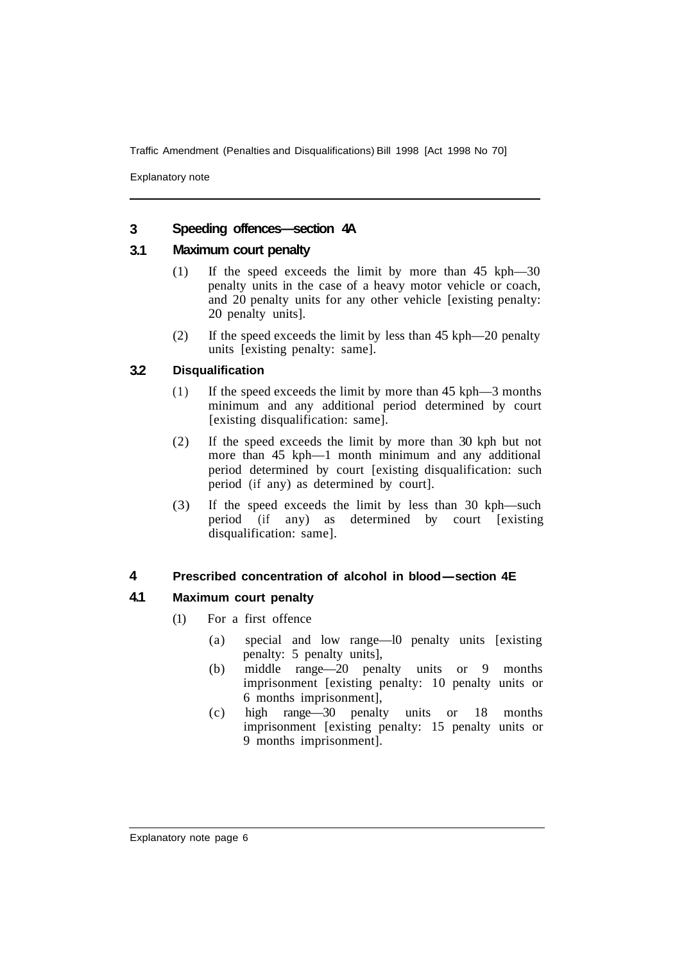Explanatory note

#### **3 Speeding offences—section 4A**

#### **3.1 Maximum court penalty**

- (1) If the speed exceeds the limit by more than 45 kph—30 penalty units in the case of a heavy motor vehicle or coach, and 20 penalty units for any other vehicle [existing penalty: 20 penalty units].
- (2) If the speed exceeds the limit by less than 45 kph—20 penalty units [existing penalty: same].

#### **3.2 Disqualification**

- (1) If the speed exceeds the limit by more than 45 kph—3 months minimum and any additional period determined by court [existing disqualification: same].
- (2) If the speed exceeds the limit by more than 30 kph but not more than 45 kph—1 month minimum and any additional period determined by court [existing disqualification: such period (if any) as determined by court].
- (3) If the speed exceeds the limit by less than 30 kph—such period (if any) as determined by court [existing disqualification: same].

#### **4 Prescribed concentration of alcohol in blood-section 4E**

- (1) For a first offence
	- (a) special and low range—l0 penalty units [existing penalty: 5 penalty units],
	- (b) middle range—20 penalty units or 9 months imprisonment [existing penalty: 10 penalty units or 6 months imprisonment],
	- (c) high range—30 penalty units or 18 months imprisonment [existing penalty: 15 penalty units or 9 months imprisonment].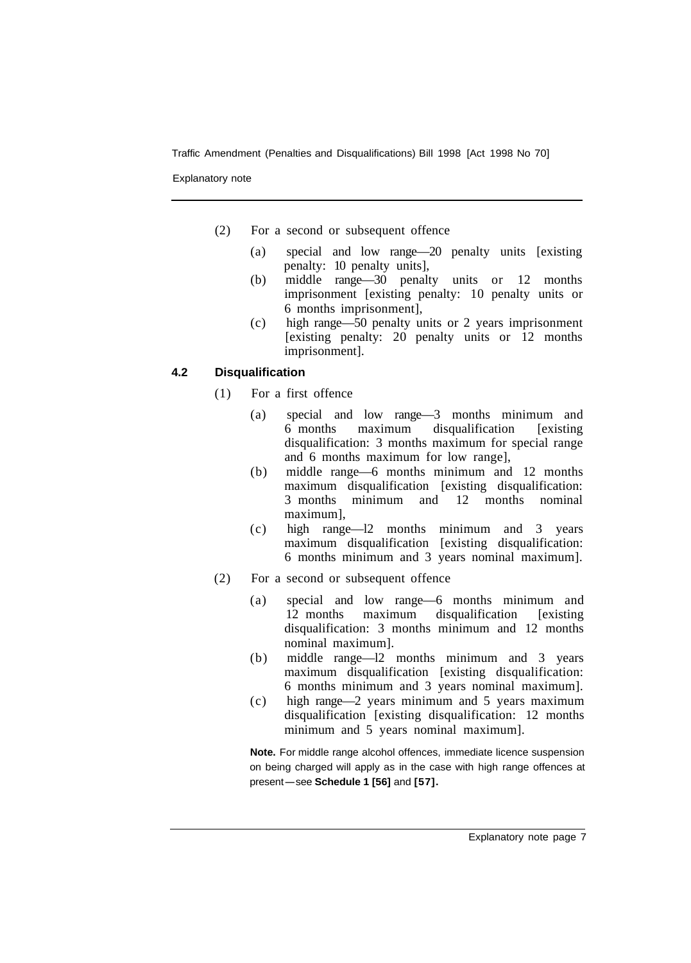Explanatory note

- (2) For a second or subsequent offence
	- (a) special and low range—20 penalty units [existing penalty: 10 penalty units],
	- (b) middle range—30 penalty units or 12 months imprisonment [existing penalty: 10 penalty units or 6 months imprisonment],
	- (c) high range—50 penalty units or 2 years imprisonment [existing penalty: 20 penalty units or 12 months imprisonment].

# **4.2 Disqualification**

- (1) For a first offence
	- (a) special and low range—3 months minimum and 6 months maximum disqualification [existing disqualification: 3 months maximum for special range and 6 months maximum for low range],
	- (b) middle range—6 months minimum and 12 months maximum disqualification [existing disqualification: 3 months minimum and 12 months nominal maximum],
	- (c) high range—l2 months minimum and 3 years maximum disqualification [existing disqualification: 6 months minimum and 3 years nominal maximum].
- (2) For a second or subsequent offence
	- (a) special and low range—6 months minimum and 12 months maximum disqualification [existing disqualification: 3 months minimum and 12 months nominal maximum].
	- (b) middle range—l2 months minimum and 3 years maximum disqualification [existing disqualification: 6 months minimum and 3 years nominal maximum].
	- (c) high range—2 years minimum and 5 years maximum disqualification [existing disqualification: 12 months minimum and 5 years nominal maximum].

**Note.** For middle range alcohol offences, immediate licence suspension on being charged will apply as in the case with high range offences at present-see Schedule 1 [56] and [57].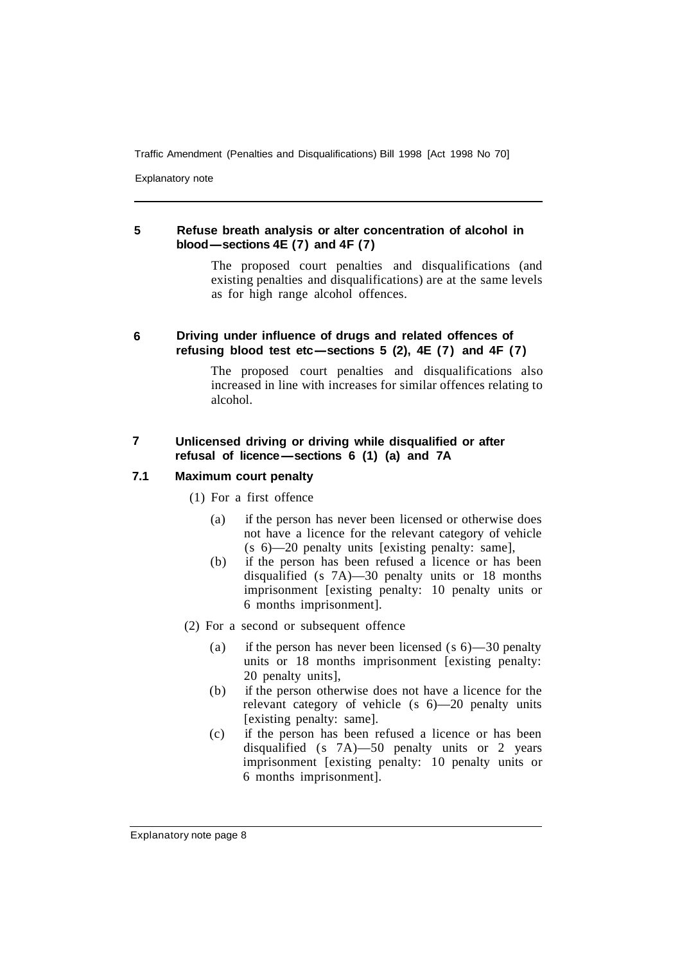Explanatory note

#### **5 Refuse breath analysis or alter concentration of alcohol in blood-sections 4E (7) and 4F (7)**

The proposed court penalties and disqualifications (and existing penalties and disqualifications) are at the same levels as for high range alcohol offences.

#### **6 Driving under influence of drugs and related offences of refusing blood test etc-sections 5 (2), 4E (7) and 4F (7)**

The proposed court penalties and disqualifications also increased in line with increases for similar offences relating to alcohol.

# **7 Unlicensed driving or driving while disqualified or after**  Unlicensed driving or driving while disqualified<br>refusal of licence—sections 6 (1) (a) and 7A

- (1) For a first offence
	- (a) if the person has never been licensed or otherwise does not have a licence for the relevant category of vehicle (s 6)—20 penalty units [existing penalty: same],
	- (b) if the person has been refused a licence or has been disqualified (s 7A)—30 penalty units or 18 months imprisonment [existing penalty: 10 penalty units or 6 months imprisonment].
- (2) For a second or subsequent offence
	- (a) if the person has never been licensed (s 6)—30 penalty units or 18 months imprisonment [existing penalty: 20 penalty units],
	- (b) if the person otherwise does not have a licence for the relevant category of vehicle (s 6)—20 penalty units [existing penalty: same].
	- (c) if the person has been refused a licence or has been disqualified (s 7A)—50 penalty units or 2 years imprisonment [existing penalty: 10 penalty units or 6 months imprisonment].

Explanatory note page 8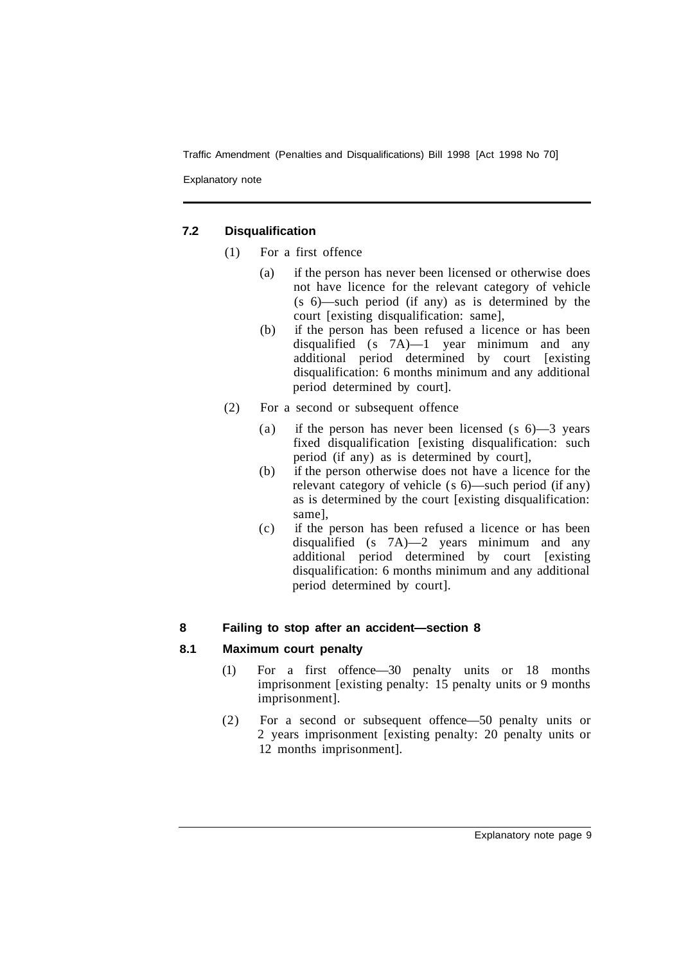Explanatory note

# **7.2 Disqualification**

- (1) For a first offence
	- (a) if the person has never been licensed or otherwise does not have licence for the relevant category of vehicle (s 6)—such period (if any) as is determined by the court [existing disqualification: same],
	- (b) if the person has been refused a licence or has been disqualified (s 7A)—1 year minimum and any additional period determined by court [existing disqualification: 6 months minimum and any additional period determined by court].
- (2) For a second or subsequent offence
	- (a) if the person has never been licensed (s 6)—3 years fixed disqualification [existing disqualification: such period (if any) as is determined by court],
	- (b) if the person otherwise does not have a licence for the relevant category of vehicle (s 6)—such period (if any) as is determined by the court [existing disqualification: same],
	- (c) if the person has been refused a licence or has been disqualified (s 7A)—2 years minimum and any additional period determined by court [existing disqualification: 6 months minimum and any additional period determined by court].

# **8 Failing to stop after an accident—section 8**

- (1) For a first offence—30 penalty units or 18 months imprisonment [existing penalty: 15 penalty units or 9 months imprisonment].
- (2) For a second or subsequent offence—50 penalty units or 2 years imprisonment [existing penalty: 20 penalty units or 12 months imprisonment].